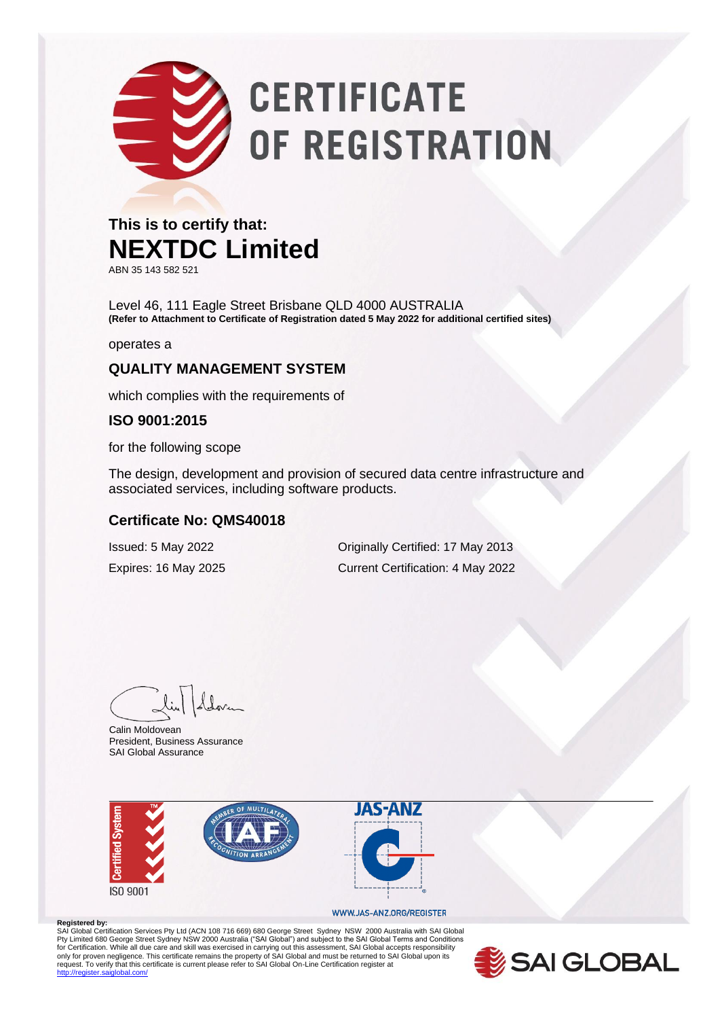# **CERTIFICATE** OF REGISTRATION

#### **This is to certify that: NEXTDC Limited**

ABN 35 143 582 521

Level 46, 111 Eagle Street Brisbane QLD 4000 AUSTRALIA **(Refer to Attachment to Certificate of Registration dated 5 May 2022 for additional certified sites)**

operates a

#### **QUALITY MANAGEMENT SYSTEM**

which complies with the requirements of

#### **ISO 9001:2015**

for the following scope

The design, development and provision of secured data centre infrastructure and associated services, including software products.

#### **Certificate No: QMS40018**

Issued: 5 May 2022 Originally Certified: 17 May 2013 Expires: 16 May 2025 Current Certification: 4 May 2022

Calin Moldovean President, Business Assurance SAI Global Assurance



#### WWW.JAS-ANZ.ORG/REGISTER

**Registered by:**<br>SAI Global Certification Services Pty Ltd (ACN 108 716 669) 680 George Street Sydney NSW 2000 Australia with SAI Global Pty Limited 680 George Street Sydney NSW 2000 Australia ("SAI Global") and subject to the SAI Global Terms and Conditions<br>for Certification. While all due care and skill was exercised in carrying out this assessment, SAI G .<br>diobal.com/

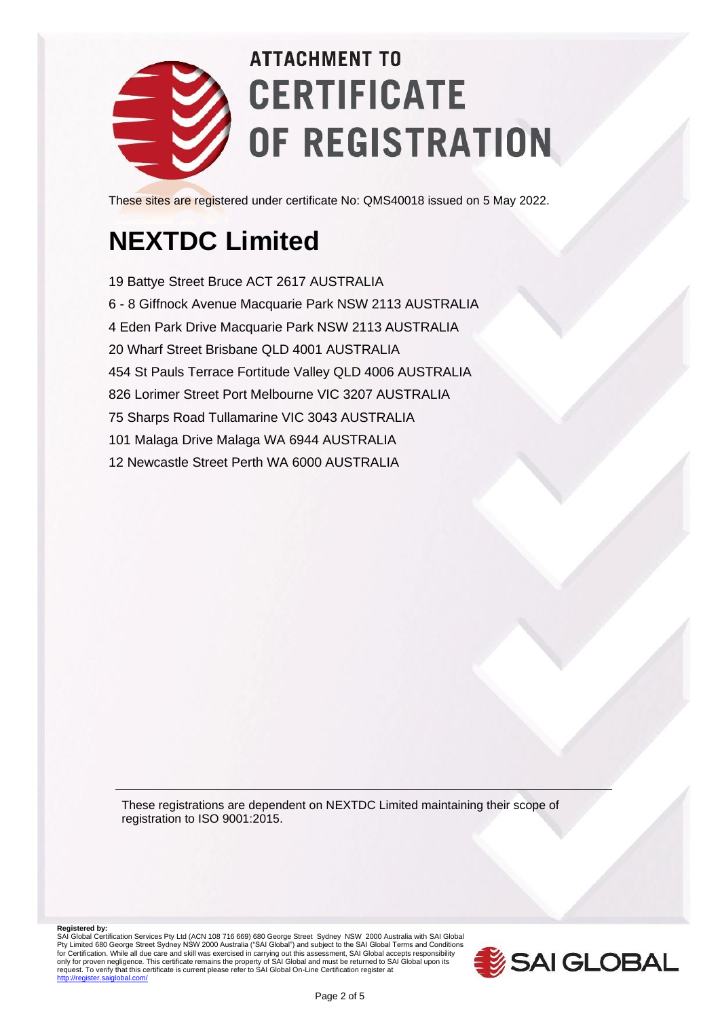

These sites are registered under certificate No: QMS40018 issued on 5 May 2022.

### **NEXTDC Limited**

19 Battye Street Bruce ACT 2617 AUSTRALIA 6 - 8 Giffnock Avenue Macquarie Park NSW 2113 AUSTRALIA 4 Eden Park Drive Macquarie Park NSW 2113 AUSTRALIA 20 Wharf Street Brisbane QLD 4001 AUSTRALIA 454 St Pauls Terrace Fortitude Valley QLD 4006 AUSTRALIA 826 Lorimer Street Port Melbourne VIC 3207 AUSTRALIA 75 Sharps Road Tullamarine VIC 3043 AUSTRALIA 101 Malaga Drive Malaga WA 6944 AUSTRALIA 12 Newcastle Street Perth WA 6000 AUSTRALIA

These registrations are dependent on NEXTDC Limited maintaining their scope of registration to ISO 9001:2015.

**Registered by:**<br>SAI Global Certification Services Pty Ltd (ACN 108 716 669) 680 George Street Sydney NSW 2000 Australia with SAI Global<br>Pty Limited 680 George Street Sydney NSW 2000 Australia ("SAI Global") and subject for Certification. While all due care and skill was exercised in carrying out this assessment, SAI Global accepts responsibility<br>only for proven negligence. This certificate remains the property of SAI Global and must be r

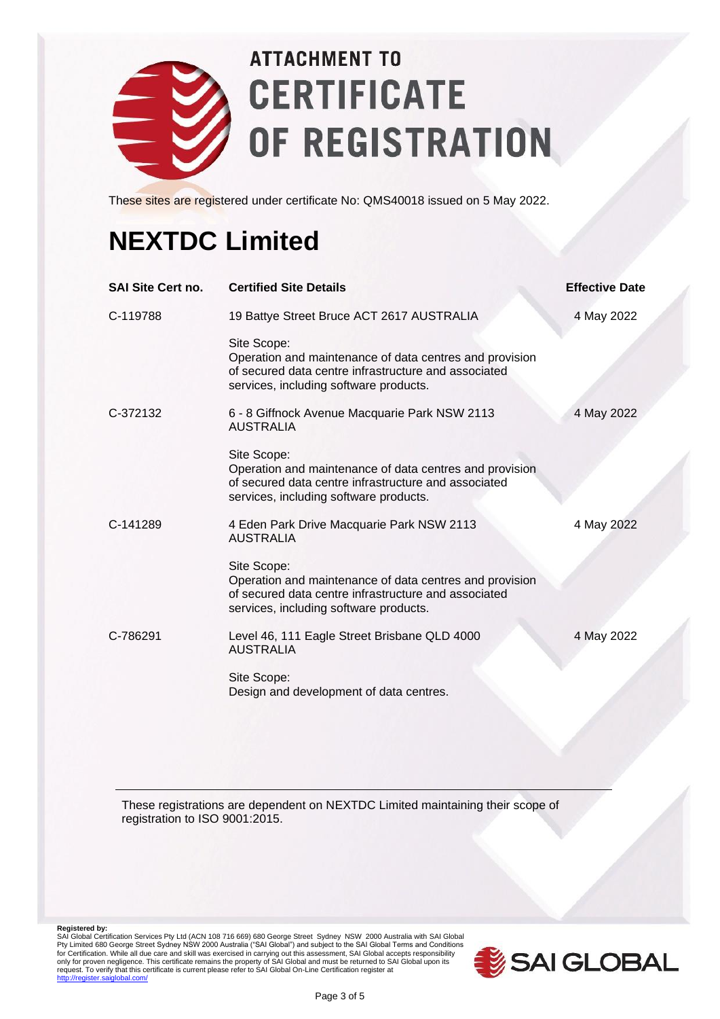

These sites are registered under certificate No: QMS40018 issued on 5 May 2022.

### **NEXTDC Limited**

| <b>SAI Site Cert no.</b> | <b>Certified Site Details</b>                                                                                                                                            | <b>Effective Date</b> |
|--------------------------|--------------------------------------------------------------------------------------------------------------------------------------------------------------------------|-----------------------|
| C-119788                 | 19 Battye Street Bruce ACT 2617 AUSTRALIA                                                                                                                                | 4 May 2022            |
|                          | Site Scope:<br>Operation and maintenance of data centres and provision<br>of secured data centre infrastructure and associated<br>services, including software products. |                       |
| C-372132                 | 6 - 8 Giffnock Avenue Macquarie Park NSW 2113<br><b>AUSTRALIA</b>                                                                                                        | 4 May 2022            |
|                          | Site Scope:<br>Operation and maintenance of data centres and provision<br>of secured data centre infrastructure and associated<br>services, including software products. |                       |
| C-141289                 | 4 Eden Park Drive Macquarie Park NSW 2113<br><b>AUSTRALIA</b>                                                                                                            | 4 May 2022            |
|                          | Site Scope:<br>Operation and maintenance of data centres and provision<br>of secured data centre infrastructure and associated<br>services, including software products. |                       |
| C-786291                 | Level 46, 111 Eagle Street Brisbane QLD 4000<br><b>AUSTRALIA</b>                                                                                                         | 4 May 2022            |
|                          | Site Scope:<br>Design and development of data centres.                                                                                                                   |                       |

These registrations are dependent on NEXTDC Limited maintaining their scope of registration to ISO 9001:2015.

Registered by:<br>SAI Global Certification Services Pty Ltd (ACN 108 716 669) 680 George Street Sydney NSW 2000 Australia with SAI Global<br>Pty Limited 680 George Street Sydney NSW 2000 Australia ("SAI Global") and subject to t

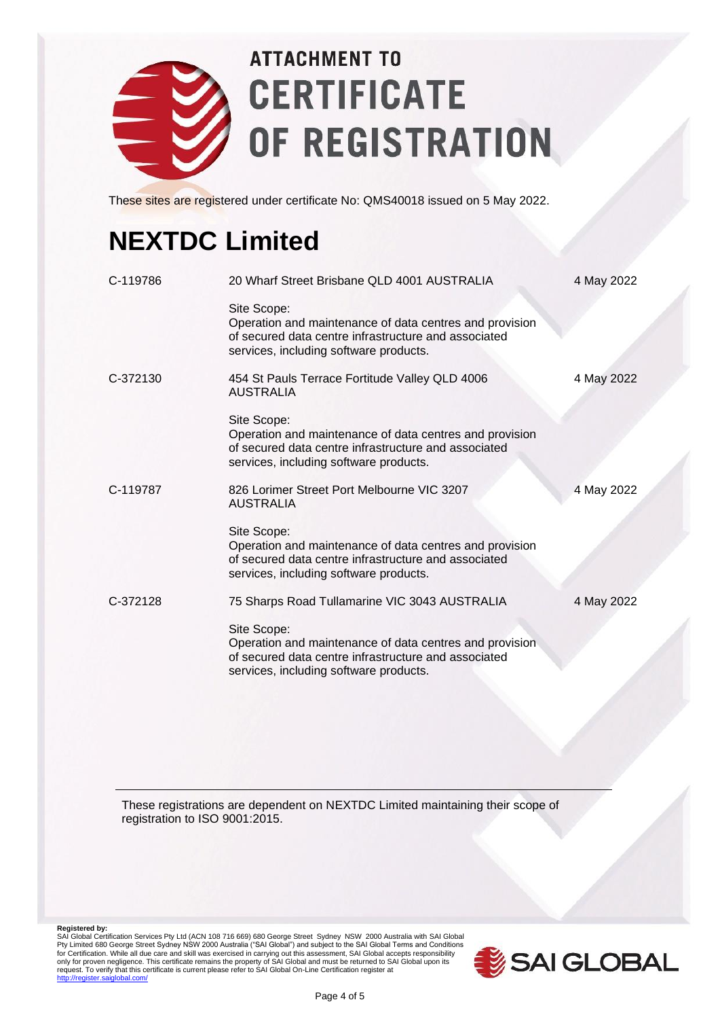

These sites are registered under certificate No: QMS40018 issued on 5 May 2022.

### **NEXTDC Limited**

| C-119786 | 20 Wharf Street Brisbane QLD 4001 AUSTRALIA                                                                                                                              | 4 May 2022 |
|----------|--------------------------------------------------------------------------------------------------------------------------------------------------------------------------|------------|
|          | Site Scope:<br>Operation and maintenance of data centres and provision<br>of secured data centre infrastructure and associated<br>services, including software products. |            |
| C-372130 | 454 St Pauls Terrace Fortitude Valley QLD 4006<br>AUSTRALIA                                                                                                              | 4 May 2022 |
|          | Site Scope:<br>Operation and maintenance of data centres and provision<br>of secured data centre infrastructure and associated<br>services, including software products. |            |
| C-119787 | 826 Lorimer Street Port Melbourne VIC 3207<br><b>AUSTRALIA</b>                                                                                                           | 4 May 2022 |
|          | Site Scope:<br>Operation and maintenance of data centres and provision<br>of secured data centre infrastructure and associated<br>services, including software products. |            |
| C-372128 | 75 Sharps Road Tullamarine VIC 3043 AUSTRALIA                                                                                                                            | 4 May 2022 |
|          | Site Scope:<br>Operation and maintenance of data centres and provision<br>of secured data centre infrastructure and associated<br>services, including software products. |            |

These registrations are dependent on NEXTDC Limited maintaining their scope of registration to ISO 9001:2015.

Registered by:<br>SAI Global Certification Services Pty Ltd (ACN 108 716 669) 680 George Street Sydney NSW 2000 Australia with SAI Global<br>Pty Limited 680 George Street Sydney NSW 2000 Australia ("SAI Global") and subject to t